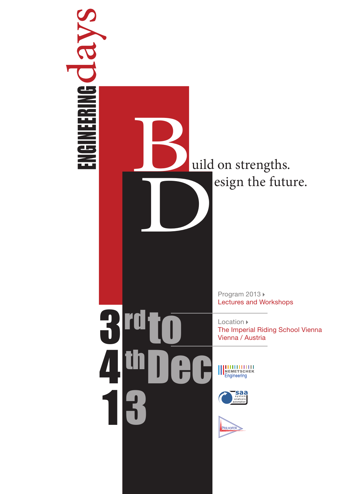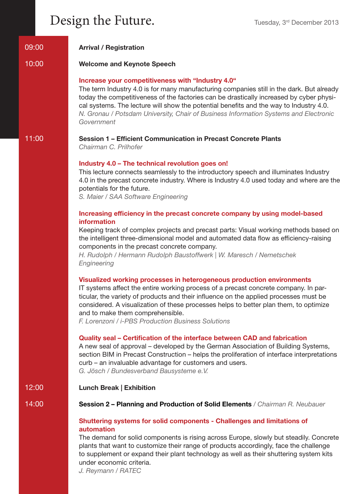# Design the Future. Tuesday, 3<sup>rd</sup> December 2013

#### Arrival / Registration 09:00

#### Welcome and Keynote Speech 10:00

### Increase your competitiveness with "Industry 4.0"

The term Industry 4.0 is for many manufacturing companies still in the dark. But already today the competitiveness of the factories can be drastically increased by cyber physical systems. The lecture will show the potential benefits and the way to Industry 4.0. *N. Gronau / Potsdam University, Chair of Business Information Systems and Electronic Government*

### 11:00

### Session 1 – Efficient Communication in Precast Concrete Plants

*Chairman C. Prilhofer*

### Industry 4.0 – The technical revolution goes on!

This lecture connects seamlessly to the introductory speech and illuminates Industry 4.0 in the precast concrete industry. Where is Industry 4.0 used today and where are the potentials for the future.

*S. Maier / SAA Software Engineering*

### Increasing efficiency in the precast concrete company by using model-based information

Keeping track of complex projects and precast parts: Visual working methods based on the intelligent three-dimensional model and automated data flow as efficiency-raising components in the precast concrete company.

*H. Rudolph / Hermann Rudolph Baustoffwerk | W. Maresch / Nemetschek Engineering*

### Visualized working processes in heterogeneous production environments

IT systems affect the entire working process of a precast concrete company. In particular, the variety of products and their influence on the applied processes must be considered. A visualization of these processes helps to better plan them, to optimize and to make them comprehensible.

*F. Lorenzoni / i-PBS Production Business Solutions*

### Quality seal – Certification of the interface between CAD and fabrication

A new seal of approval – developed by the German Association of Building Systems, section BIM in Precast Construction – helps the proliferation of interface interpretations curb – an invaluable advantage for customers and users. *G. Jösch / Bundesverband Bausysteme e.V.*

#### Lunch Break | Exhibition 12:00

14:00

Session 2 – Planning and Production of Solid Elements */ Chairman R. Neubauer*

### Shuttering systems for solid components - Challenges and limitations of automation

The demand for solid components is rising across Europe, slowly but steadily. Concrete plants that want to customize their range of products accordingly, face the challenge to supplement or expand their plant technology as well as their shuttering system kits under economic criteria.

*J. Reymann / RATEC*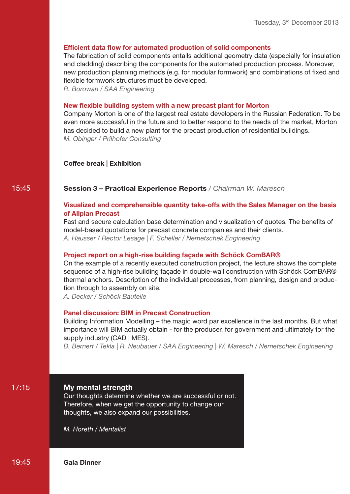### Efficient data flow for automated production of solid components

The fabrication of solid components entails additional geometry data (especially for insulation and cladding) describing the components for the automated production process. Moreover, new production planning methods (e.g. for modular formwork) and combinations of fixed and flexible formwork structures must be developed.

*R. Borowan / SAA Engineering*

### New flexible building system with a new precast plant for Morton

Company Morton is one of the largest real estate developers in the Russian Federation. To be even more successful in the future and to better respond to the needs of the market, Morton has decided to build a new plant for the precast production of residential buildings. *M. Obinger / Prilhofer Consulting* 

### Coffee break | Exhibition

#### Session 3 – Practical Experience Reports */ Chairman W. Maresch* 15:45

### Visualized and comprehensible quantity take-offs with the Sales Manager on the basis of Allplan Precast

Fast and secure calculation base determination and visualization of quotes. The benefits of model-based quotations for precast concrete companies and their clients. *A. Hausser / Rector Lesage | F. Scheller / Nemetschek Engineering*

### Project report on a high-rise building façade with Schöck ComBAR®

On the example of a recently executed construction project, the lecture shows the complete sequence of a high-rise building façade in double-wall construction with Schöck ComBAR® thermal anchors. Description of the individual processes, from planning, design and production through to assembly on site.

*A. Decker / Schöck Bauteile*

### Panel discussion: BIM in Precast Construction

Building Information Modelling – the magic word par excellence in the last months. But what importance will BIM actually obtain - for the producer, for government and ultimately for the supply industry (CAD | MES).

*D. Bernert / Tekla | R. Neubauer / SAA Engineering | W. Maresch / Nemetschek Engineering*

### 17:15

### My mental strength

Our thoughts determine whether we are successful or not. Therefore, when we get the opportunity to change our thoughts, we also expand our possibilities.

*M. Horeth / Mentalist*

Gala Dinner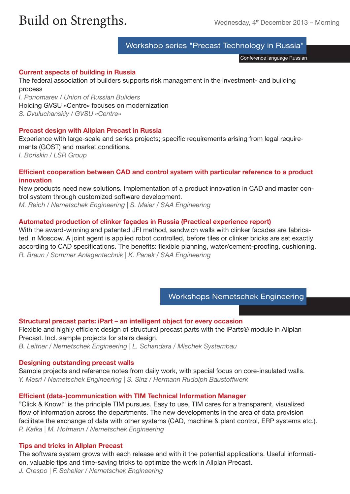# Build on Strengths.

# Workshop series "Precast Technology in Russia"

Conference language Russian

### Current aspects of building in Russia

The federal association of builders supports risk management in the investment- and building process

*I. Ponomarev / Union of Russian Builders* Holding GVSU «Centre» focuses on modernization *S. Dvuluchanskiy / GVSU «Centre»*

### Precast design with Allplan Precast in Russia

Experience with large-scale and series projects; specific requirements arising from legal requirements (GOST) and market conditions.

*I. Boriskin / LSR Group*

### Efficient cooperation between CAD and control system with particular reference to a product innovation

New products need new solutions. Implementation of a product innovation in CAD and master control system through customized software development. *M. Reich / Nemetschek Engineering | S. Maier / SAA Engineering*

### Automated production of clinker façades in Russia (Practical experience report)

With the award-winning and patented JFI method, sandwich walls with clinker facades are fabricated in Moscow. A joint agent is applied robot controlled, before tiles or clinker bricks are set exactly according to CAD specifications. The benefits: flexible planning, water/cement-proofing, cushioning. *R. Braun / Sommer Anlagentechnik | K. Panek / SAA Engineering*

Workshops Nemetschek Engineering

### Structural precast parts: iPart – an intelligent object for every occasion

Flexible and highly efficient design of structural precast parts with the iParts® module in Allplan Precast. Incl. sample projects for stairs design.

*B. Leitner / Nemetschek Engineering | L. Schandara / Mischek Systembau*

### Designing outstanding precast walls

Sample projects and reference notes from daily work, with special focus on core-insulated walls. *Y. Mesri / Nemetschek Engineering | S. Sinz / Hermann Rudolph Baustoffwerk*

### Efficient (data-)communication with TIM Technical Information Manager

"Click & Know!" is the principle TIM pursues. Easy to use, TIM cares for a transparent, visualized flow of information across the departments. The new developments in the area of data provision facilitate the exchange of data with other systems (CAD, machine & plant control, ERP systems etc.). *P. Kafka | M. Hofmann / Nemetschek Engineering*

### Tips and tricks in Allplan Precast

The software system grows with each release and with it the potential applications. Useful information, valuable tips and time-saving tricks to optimize the work in Allplan Precast. *J. Crespo | F. Scheller / Nemetschek Engineering*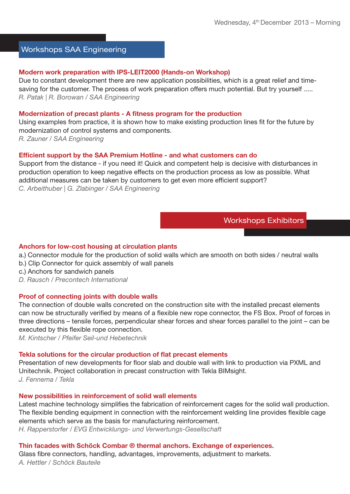## Workshops SAA Engineering

### Modern work preparation with IPS-LEIT2000 (Hands-on Workshop)

Due to constant development there are new application possibilities, which is a great relief and timesaving for the customer. The process of work preparation offers much potential. But try yourself ..... *R. Patak | R. Borowan / SAA Engineering* 

### Modernization of precast plants - A fitness program for the production

Using examples from practice, it is shown how to make existing production lines fit for the future by modernization of control systems and components.

*R. Zauner / SAA Engineering*

### Efficient support by the SAA Premium Hotline - and what customers can do

Support from the distance - if you need it! Quick and competent help is decisive with disturbances in production operation to keep negative effects on the production process as low as possible. What additional measures can be taken by customers to get even more efficient support? *C. Arbeithuber | G. Zlabinger / SAA Engineering*

Workshops Exhibitors

### Anchors for low-cost housing at circulation plants

- a.) Connector module for the production of solid walls which are smooth on both sides / neutral walls
- b.) Clip Connector for quick assembly of wall panels
- c.) Anchors for sandwich panels
- *D. Rausch / Precontech International*

### Proof of connecting joints with double walls

The connection of double walls concreted on the construction site with the installed precast elements can now be structurally verified by means of a flexible new rope connector, the FS Box. Proof of forces in three directions – tensile forces, perpendicular shear forces and shear forces parallel to the joint – can be executed by this flexible rope connection.

*M. Kintscher / Pfeifer Seil-und Hebetechnik* 

### Tekla solutions for the circular production of flat precast elements

Presentation of new developments for floor slab and double wall with link to production via PXML and Unitechnik. Project collaboration in precast construction with Tekla BIMsight. *J. Fennema / Tekla*

### New possibilities in reinforcement of solid wall elements

Latest machine technology simplifies the fabrication of reinforcement cages for the solid wall production. The flexible bending equipment in connection with the reinforcement welding line provides flexible cage elements which serve as the basis for manufacturing reinforcement.

*H. Rapperstorfer / EVG Entwicklungs- und Verwertungs-Gesellschaft*

### Thin facades with Schöck Combar ® thermal anchors. Exchange of experiences.

Glass fibre connectors, handling, advantages, improvements, adjustment to markets. *A. Hettler / Schöck Bauteile*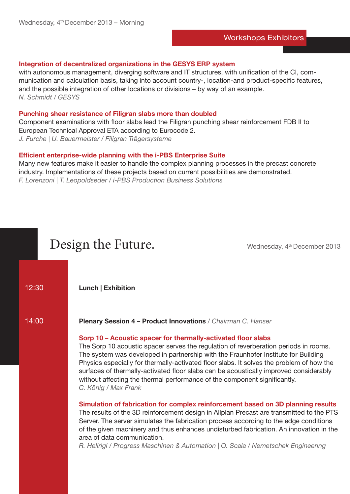### Workshops Exhibitors

### Integration of decentralized organizations in the GESYS ERP system

with autonomous management, diverging software and IT structures, with unification of the CI, communication and calculation basis, taking into account country-, location-and product-specific features, and the possible integration of other locations or divisions – by way of an example. *N. Schmidt / GESYS*

### Punching shear resistance of Filigran slabs more than doubled

Component examinations with floor slabs lead the Filigran punching shear reinforcement FDB II to European Technical Approval ETA according to Eurocode 2. *J. Furche | U. Bauermeister / Filigran Trägersysteme*

### Efficient enterprise-wide planning with the i-PBS Enterprise Suite

Many new features make it easier to handle the complex planning processes in the precast concrete industry. Implementations of these projects based on current possibilities are demonstrated. *F. Lorenzoni | T. Leopoldseder / i-PBS Production Business Solutions*

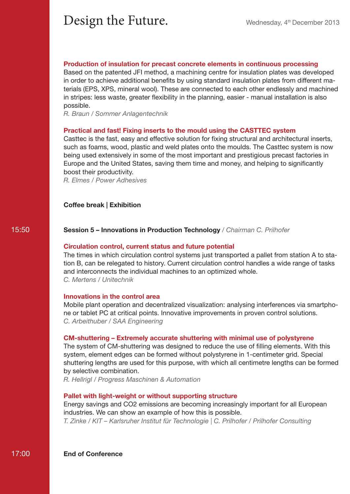# Design the Future. Wednesday, 4th December 2013

### Production of insulation for precast concrete elements in continuous processing

Based on the patented JFI method, a machining centre for insulation plates was developed in order to achieve additional benefits by using standard insulation plates from different materials (EPS, XPS, mineral wool). These are connected to each other endlessly and machined in stripes: less waste, greater flexibility in the planning, easier - manual installation is also possible.

*R. Braun / Sommer Anlagentechnik*

### Practical and fast! Fixing inserts to the mould using the CASTTEC system

Casttec is the fast, easy and effective solution for fixing structural and architectural inserts, such as foams, wood, plastic and weld plates onto the moulds. The Casttec system is now being used extensively in some of the most important and prestigious precast factories in Europe and the United States, saving them time and money, and helping to significantly boost their productivity.

*R. Elmes / Power Adhesives*

### Coffee break | Exhibition

#### Session 5 – Innovations in Production Technology */ Chairman C. Prilhofer* 15:50

### Circulation control, current status and future potential

The times in which circulation control systems just transported a pallet from station A to station B, can be relegated to history. Current circulation control handles a wide range of tasks and interconnects the individual machines to an optimized whole. *C. Mertens / Unitechnik*

### Innovations in the control area

Mobile plant operation and decentralized visualization: analysing interferences via smartphone or tablet PC at critical points. Innovative improvements in proven control solutions. *C. Arbeithuber / SAA Engineering*

### CM-shuttering – Extremely accurate shuttering with minimal use of polystyrene

The system of CM-shuttering was designed to reduce the use of filling elements. With this system, element edges can be formed without polystyrene in 1-centimeter grid. Special shuttering lengths are used for this purpose, with which all centimetre lengths can be formed by selective combination.

*R. Hellrigl / Progress Maschinen & Automation*

### Pallet with light-weight or without supporting structure

Energy savings and CO2 emissions are becoming increasingly important for all European industries. We can show an example of how this is possible. *T. Zinke / KIT – Karlsruher Institut für Technologie | C. Prilhofer / Prilhofer Consulting*